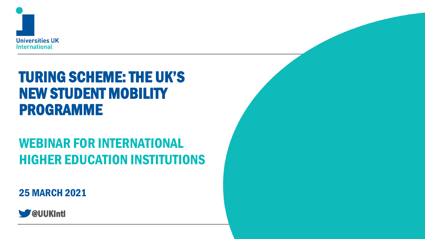

# TURING SCHEME: THE UK'S NEW STUDENT MOBILITY PROGRAMME

# WEBINAR FOR INTERNATIONAL HIGHER EDUCATION INSTITUTIONS

25 MARCH 2021

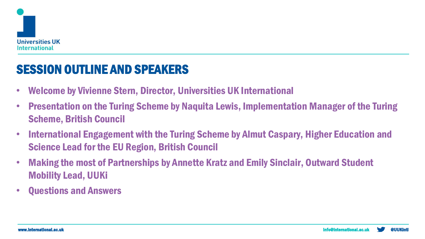

### SESSION OUTLINE AND SPEAKERS

- Welcome by Vivienne Stern, Director, Universities UK International
- Presentation on the Turing Scheme by Naquita Lewis, Implementation Manager of the Turing Scheme, British Council
- International Engagement with the Turing Scheme by Almut Caspary, Higher Education and Science Lead for the EU Region, British Council
- Making the most of Partnerships by Annette Kratz and Emily Sinclair, Outward Student Mobility Lead, UUKi
- Questions and Answers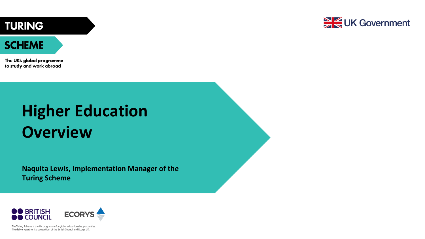**TURING** 



#### **SCHEME**

The UK's global programme to study and work abroad

# **Higher Education Overview**

**Naquita Lewis, Implementation Manager of the Turing Scheme**



The Turing Scheme is the UK programme for global educational opportunities. The delivery partner is a consortium of the British Council and Ecorys UK.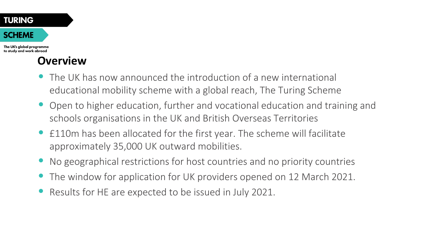#### **TURING SCHEME** The UK's global programme

to study and work abroad

### **Overview**

- The UK has now announced the introduction of a new international educational mobility scheme with a global reach, The Turing Scheme
- Open to higher education, further and vocational education and training and schools organisations in the UK and British Overseas Territories
- £110m has been allocated for the first year. The scheme will facilitate approximately 35,000 UK outward mobilities.
- No geographical restrictions for host countries and no priority countries
- The window for application for UK providers opened on 12 March 2021.
- Results for HE are expected to be issued in July 2021.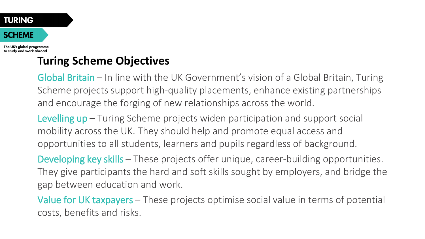The UK's global programme to study and work abroad

### **Turing Scheme Objectives**

Global Britain – In line with the UK Government's vision of a Global Britain, Turing Scheme projects support high-quality placements, enhance existing partnerships and encourage the forging of new relationships across the world.

Levelling up – Turing Scheme projects widen participation and support social mobility across the UK. They should help and promote equal access and opportunities to all students, learners and pupils regardless of background.

Developing key skills – These projects offer unique, career-building opportunities. They give participants the hard and soft skills sought by employers, and bridge the gap between education and work.

Value for UK taxpayers – These projects optimise social value in terms of potential costs, benefits and risks.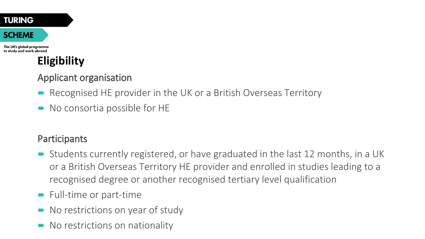The UK's global programme to study and work abroad

# **Eligibility**

#### Applicant organisation

- Recognised HE provider in the UK or a British Overseas Territory
- No consortia possible for HE

#### Participants

- Students currently registered, or have graduated in the last 12 months, in a UK or a British Overseas Territory HE provider and enrolled in studies leading to a recognised degree or another recognised tertiary level qualification
- **Full-time or part-time**
- No restrictions on year of study
- No restrictions on nationality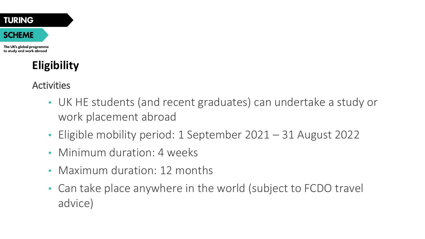The UK's global programme to study and work abroad

# **Eligibility**

Activities

- UK HE students (and recent graduates) can undertake a study or work placement abroad
- Eligible mobility period: 1 September 2021 31 August 2022
- Minimum duration: 4 weeks
- Maximum duration: 12 months
- Can take place anywhere in the world (subject to FCDO travel advice)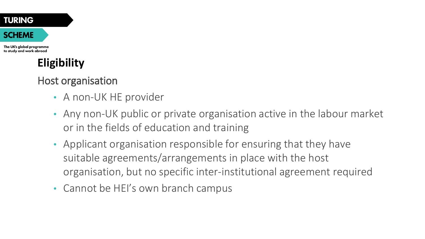The UK's global programme to study and work abroad

# **Eligibility**

Host organisation

- A non-UK HE provider
- Any non-UK public or private organisation active in the labour market or in the fields of education and training
- Applicant organisation responsible for ensuring that they have suitable agreements/arrangements in place with the host organisation, but no specific inter-institutional agreement required
- Cannot be HEI's own branch campus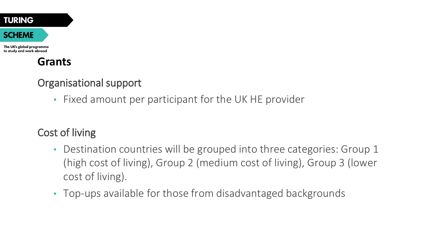| <b>TURING</b> |  |
|---------------|--|
| <b>SCHEME</b> |  |

The UK's global programme to study and work abroad

### **Grants**

#### Organisational support

• Fixed amount per participant for the UK HE provider

### Cost of living

- Destination countries will be grouped into three categories: Group 1 (high cost of living), Group 2 (medium cost of living), Group 3 (lower cost of living).
- Top-ups available for those from disadvantaged backgrounds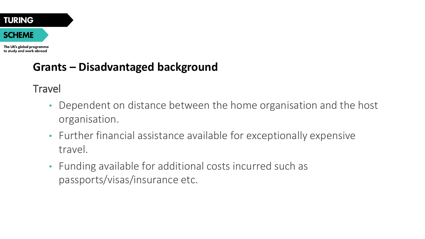The UK's global programme to study and work abroad

### **Grants – Disadvantaged background**

**Travel** 

- Dependent on distance between the home organisation and the host organisation.
- Further financial assistance available for exceptionally expensive travel.
- Funding available for additional costs incurred such as passports/visas/insurance etc.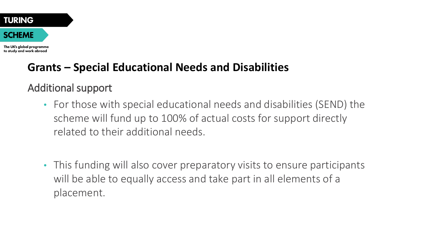

The UK's global programme to study and work abroad

### **Grants – Special Educational Needs and Disabilities**

### Additional support

- For those with special educational needs and disabilities (SEND) the scheme will fund up to 100% of actual costs for support directly related to their additional needs.
- This funding will also cover preparatory visits to ensure participants will be able to equally access and take part in all elements of a placement.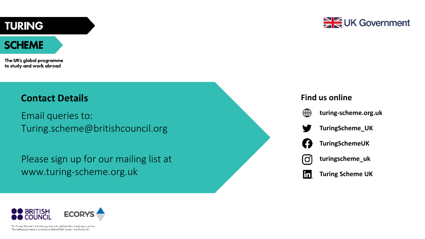#### **TURING**

#### **SCHEME**

The UK's global programme to study and work abroad

#### **Contact Details**

Email queries to: Turing.scheme@britishcouncil.org

Please sign up for our mailing list at www.turing-scheme.org.uk



#### **Find us online**



**Turing Scheme UK**lin.



The Turing Scheme is the UK programme for global educational noportunities. The delivery partner is a consortium of the British Council and Ecorys UK.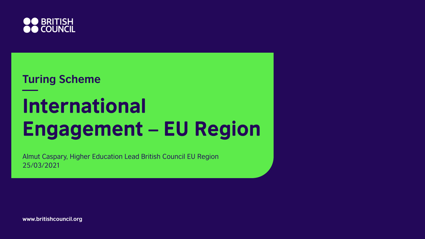

# **Turing Scheme International Engagement - EU Region**

Almut Caspary, Higher Education Lead British Council EU Region 25/03/2021

**www.britishcouncil.org**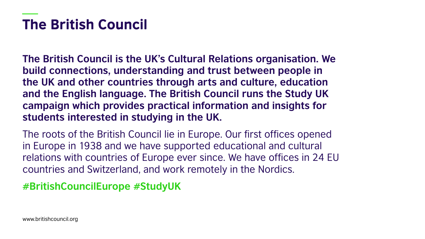# **The British Council**

**The British Council is the UK's Cultural Relations organisation. We build connections, understanding and trust between people in the UK and other countries through arts and culture, education and the English language. The British Council runs the Study UK campaign which provides practical information and insights for students interested in studying in the UK.** 

The roots of the British Council lie in Europe. Our first offices opened in Europe in 1938 and we have supported educational and cultural relations with countries of Europe ever since. We have offices in 24 EU countries and Switzerland, and work remotely in the Nordics.

#### **#BritishCouncilEurope #StudyUK**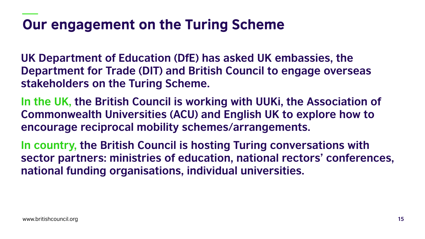# Our engagement on the Turing Scheme

**UK Department of Education (DfE) has asked UK embassies, the Department for Trade (DIT) and British Council to engage overseas stakeholders on the Turing Scheme.** 

**In the UK, the British Council is working with UUKi, the Association of Commonwealth Universities (ACU) and English UK to explore how to encourage reciprocal mobility schemes/arrangements.**

**In country, the British Council is hosting Turing conversations with sector partners: ministries of education, national rectors' conferences, national funding organisations, individual universities.**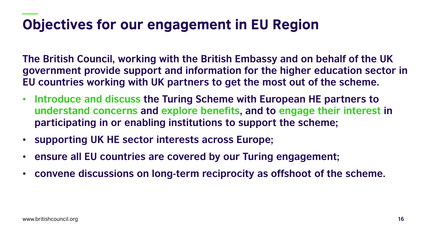# **Objectives for our engagement in EU Region**

**The British Council, working with the British Embassy and on behalf of the UK government provide support and information for the higher education sector in EU countries working with UK partners to get the most out of the scheme.**

- **Introduce and discuss the Turing Scheme with European HE partners to understand concerns and explore benefits, and to engage their interest in participating in or enabling institutions to support the scheme;**
- **supporting UK HE sector interests across Europe;**
- **ensure all EU countries are covered by our Turing engagement;**
- **convene discussions on long-term reciprocity as offshoot of the scheme.**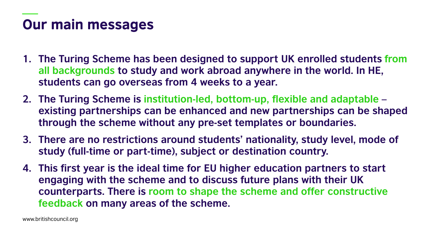# **Our main messages**

- **1. The Turing Scheme has been designed to support UK enrolled students from all backgrounds to study and work abroad anywhere in the world. In HE, students can go overseas from 4 weeks to a year.**
- **2. The Turing Scheme is institution-led, bottom-up, flexible and adaptable – existing partnerships can be enhanced and new partnerships can be shaped through the scheme without any pre-set templates or boundaries.**
- **3. There are no restrictions around students' nationality, study level, mode of study (full-time or part-time), subject or destination country.**
- **4. This first year is the ideal time for EU higher education partners to start engaging with the scheme and to discuss future plans with their UK counterparts. There is room to shape the scheme and offer constructive feedback on many areas of the scheme.**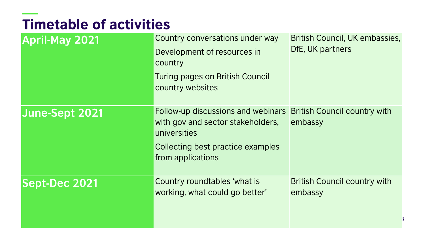# **Timetable of activities**

| <b>April-May 2021</b> | Country conversations under way<br>Development of resources in<br>country<br><b>Turing pages on British Council</b><br>country websites           | British Council, UK embassies,<br>DfE, UK partners |
|-----------------------|---------------------------------------------------------------------------------------------------------------------------------------------------|----------------------------------------------------|
| June-Sept 2021        | Follow-up discussions and webinars<br>with gov and sector stakeholders,<br>universities<br>Collecting best practice examples<br>from applications | <b>British Council country with</b><br>embassy     |
| <b>Sept-Dec 2021</b>  | Country roundtables 'what is<br>working, what could go better'                                                                                    | <b>British Council country with</b><br>embassy     |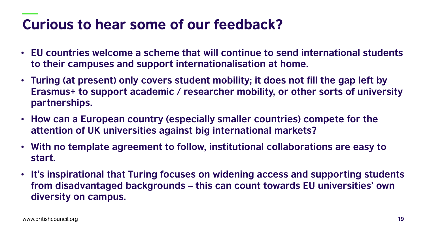# Curious to hear some of our feedback?

- **EU countries welcome a scheme that will continue to send international students to their campuses and support internationalisation at home.**
- **Turing (at present) only covers student mobility; it does not fill the gap left by Erasmus+ to support academic / researcher mobility, or other sorts of university partnerships.**
- **How can a European country (especially smaller countries) compete for the attention of UK universities against big international markets?**
- **With no template agreement to follow, institutional collaborations are easy to start.**
- **It's inspirational that Turing focuses on widening access and supporting students from disadvantaged backgrounds – this can count towards EU universities' own diversity on campus.**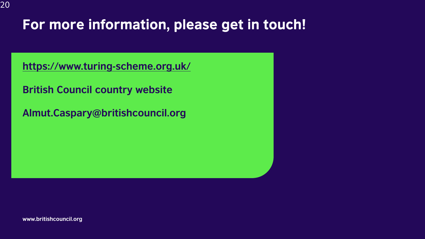# For more information, please get in touch!

**<https://www.turing-scheme.org.uk/>**

**British Council country website**

**Almut.Caspary@britishcouncil.org**

**www.britishcouncil.org**

20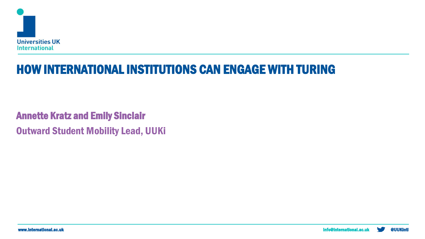

## HOW INTERNATIONAL INSTITUTIONS CAN ENGAGE WITH TURING

Annette Kratz and Emily Sinclair Outward Student Mobility Lead, UUKi

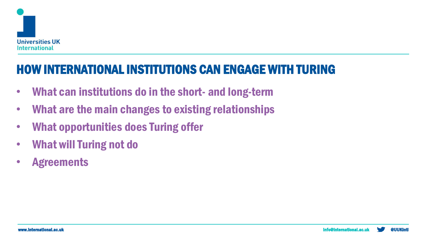

## HOW INTERNATIONAL INSTITUTIONS CAN ENGAGE WITH TURING

- What can institutions do in the short- and long-term
- What are the main changes to existing relationships
- What opportunities does Turing offer
- What will Turing not do
- Agreements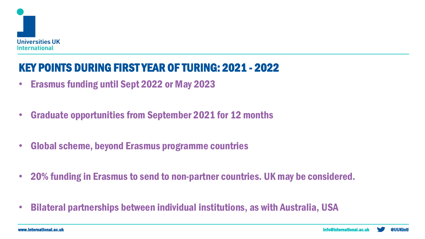

### KEY POINTS DURING FIRST YEAR OF TURING: 2021 - 2022

- Erasmus funding until Sept 2022 or May 2023
- Graduate opportunities from September 2021 for 12 months
- Global scheme, beyond Erasmus programme countries
- 20% funding in Erasmus to send to non-partner countries. UK may be considered.
- Bilateral partnerships between individual institutions, as with Australia, USA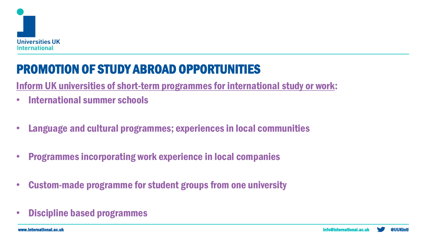

# PROMOTION OF STUDY ABROAD OPPORTUNITIES

Inform UK universities of short-term programmes for international study or work:

- International summer schools
- Language and cultural programmes; experiences in local communities
- Programmes incorporating work experience in local companies
- Custom-made programme for student groups from one university
- Discipline based programmes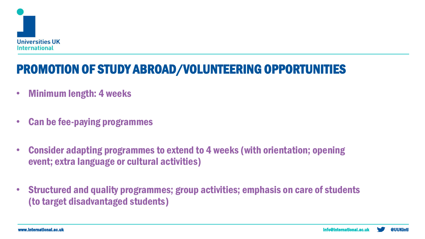

# PROMOTION OF STUDY ABROAD/VOLUNTEERING OPPORTUNITIES

- Minimum length: 4 weeks
- Can be fee-paying programmes
- Consider adapting programmes to extend to 4 weeks (with orientation; opening event; extra language or cultural activities)
- Structured and quality programmes; group activities; emphasis on care of students (to target disadvantaged students)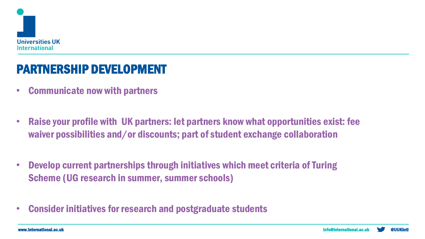

### PARTNERSHIP DEVELOPMENT

- Communicate now with partners
- Raise your profile with UK partners: let partners know what opportunities exist: fee waiver possibilities and/or discounts; part of student exchange collaboration
- Develop current partnerships through initiatives which meet criteria of Turing Scheme (UG research in summer, summer schools)
- Consider initiatives for research and postgraduate students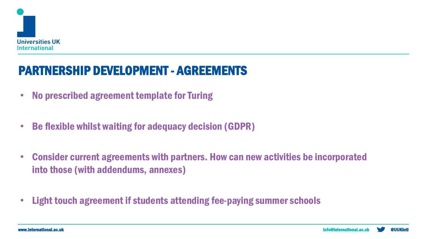

## PARTNERSHIP DEVELOPMENT - AGREEMENTS

- No prescribed agreement template for Turing
- Be flexible whilst waiting for adequacy decision (GDPR)
- Consider current agreements with partners. How can new activities be incorporated into those (with addendums, annexes)
- Light touch agreement if students attending fee-paying summer schools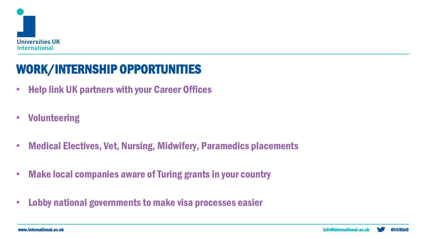

# WORK/INTERNSHIP OPPORTUNITIES

- Help link UK partners with your Career Offices
- Volunteering
- Medical Electives, Vet, Nursing, Midwifery, Paramedics placements
- Make local companies aware of Turing grants in your country
- Lobby national governments to make visa processes easier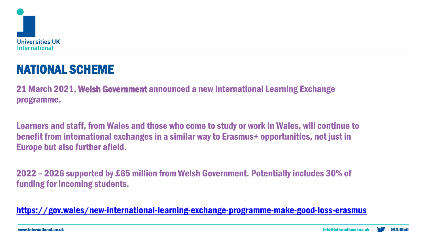

# NATIONAL SCHEME

21 March 2021, Welsh Government announced a new International Learning Exchange programme.

Learners and staff, from Wales and those who come to study or work in Wales, will continue to benefit from international exchanges in a similar way to Erasmus+ opportunities, not just in Europe but also further afield.

2022 – 2026 supported by £65 million from Welsh Government. Potentially includes 30% of funding for incoming students.

<https://gov.wales/new-international-learning-exchange-programme-make-good-loss-erasmus>